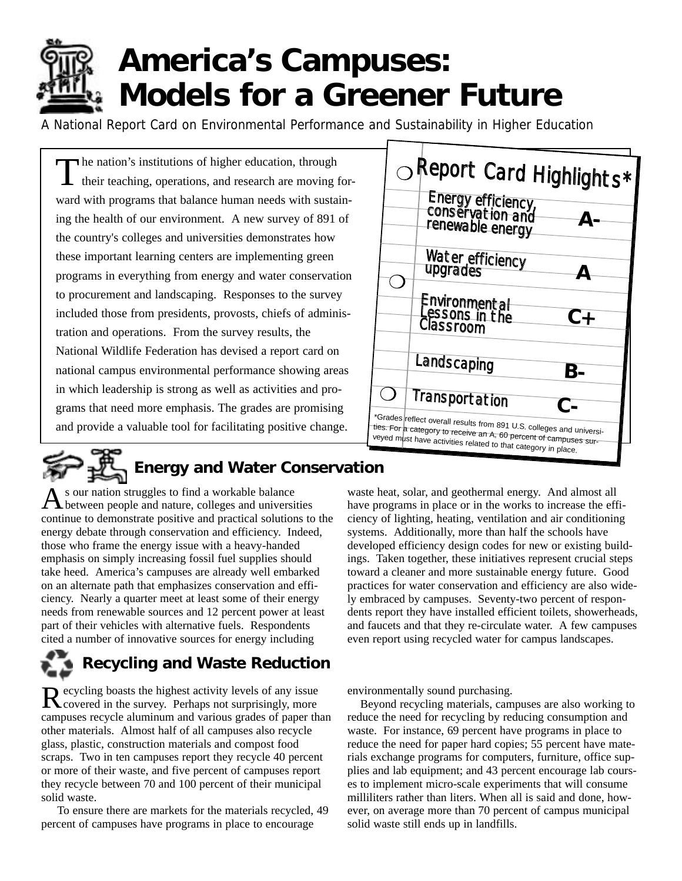

## **America's Campuses: Models for a Greener Future**

A National Report Card on Environmental Performance and Sustainability in Higher Education

The nation's institutions of higher education, through their teaching, operations, and research are moving forward with programs that balance human needs with sustaining the health of our environment. A new survey of 891 of the country's colleges and universities demonstrates how these important learning centers are implementing green programs in everything from energy and water conservation to procurement and landscaping. Responses to the survey included those from presidents, provosts, chiefs of administration and operations. From the survey results, the National Wildlife Federation has devised a report card on national campus environmental performance showing areas in which leadership is strong as well as activities and programs that need more emphasis. The grades are promising and provide a valuable tool for facilitating positive change.



# **Energy and Water Conservation**

s our nation struggles to find a workable balance between people and nature, colleges and universities continue to demonstrate positive and practical solutions to the energy debate through conservation and efficiency. Indeed, those who frame the energy issue with a heavy-handed emphasis on simply increasing fossil fuel supplies should take heed. America's campuses are already well embarked on an alternate path that emphasizes conservation and efficiency. Nearly a quarter meet at least some of their energy needs from renewable sources and 12 percent power at least part of their vehicles with alternative fuels. Respondents cited a number of innovative sources for energy including

## **Recycling and Waste Reduction**

Recycling boasts the highest activity levels of any issue Covered in the survey. Perhaps not surprisingly, more campuses recycle aluminum and various grades of paper than other materials. Almost half of all campuses also recycle glass, plastic, construction materials and compost food scraps. Two in ten campuses report they recycle 40 percent or more of their waste, and five percent of campuses report they recycle between 70 and 100 percent of their municipal solid waste.

To ensure there are markets for the materials recycled, 49 percent of campuses have programs in place to encourage

waste heat, solar, and geothermal energy. And almost all have programs in place or in the works to increase the efficiency of lighting, heating, ventilation and air conditioning systems. Additionally, more than half the schools have developed efficiency design codes for new or existing buildings. Taken together, these initiatives represent crucial steps toward a cleaner and more sustainable energy future. Good practices for water conservation and efficiency are also widely embraced by campuses. Seventy-two percent of respondents report they have installed efficient toilets, showerheads, and faucets and that they re-circulate water. A few campuses even report using recycled water for campus landscapes.

environmentally sound purchasing.

Beyond recycling materials, campuses are also working to reduce the need for recycling by reducing consumption and waste. For instance, 69 percent have programs in place to reduce the need for paper hard copies; 55 percent have materials exchange programs for computers, furniture, office supplies and lab equipment; and 43 percent encourage lab courses to implement micro-scale experiments that will consume milliliters rather than liters. When all is said and done, however, on average more than 70 percent of campus municipal solid waste still ends up in landfills.